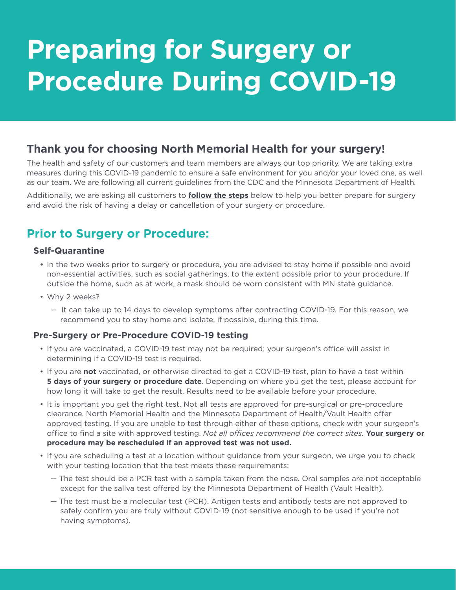# **Preparing for Surgery or Procedure During COVID-19**

## **Thank you for choosing North Memorial Health for your surgery!**

The health and safety of our customers and team members are always our top priority. We are taking extra measures during this COVID-19 pandemic to ensure a safe environment for you and/or your loved one, as well as our team. We are following all current guidelines from the CDC and the Minnesota Department of Health.

Additionally, we are asking all customers to **follow the steps** below to help you better prepare for surgery and avoid the risk of having a delay or cancellation of your surgery or procedure.

# **Prior to Surgery or Procedure:**

#### **Self-Quarantine**

- **•** In the two weeks prior to surgery or procedure, you are advised to stay home if possible and avoid non-essential activities, such as social gatherings, to the extent possible prior to your procedure. If outside the home, such as at work, a mask should be worn consistent with MN state guidance.
- Why 2 weeks?
	- It can take up to 14 days to develop symptoms after contracting COVID-19. For this reason, we recommend you to stay home and isolate, if possible, during this time.

#### **Pre-Surgery or Pre-Procedure COVID-19 testing**

- If you are vaccinated, a COVID-19 test may not be required; your surgeon's office will assist in determining if a COVID-19 test is required.
- If you are **not** vaccinated, or otherwise directed to get a COVID-19 test, plan to have a test within **5 days of your surgery or procedure date**. Depending on where you get the test, please account for how long it will take to get the result. Results need to be available before your procedure.
- It is important you get the right test. Not all tests are approved for pre-surgical or pre-procedure clearance. North Memorial Health and the Minnesota Department of Health/Vault Health offer approved testing. If you are unable to test through either of these options, check with your surgeon's office to find a site with approved testing. *Not all offices recommend the correct sites.* **Your surgery or procedure may be rescheduled if an approved test was not used.**
- If you are scheduling a test at a location without guidance from your surgeon, we urge you to check with your testing location that the test meets these requirements:
	- The test should be a PCR test with a sample taken from the nose. Oral samples are not acceptable except for the saliva test offered by the Minnesota Department of Health (Vault Health).
	- The test must be a molecular test (PCR). Antigen tests and antibody tests are not approved to safely confirm you are truly without COVID-19 (not sensitive enough to be used if you're not having symptoms).